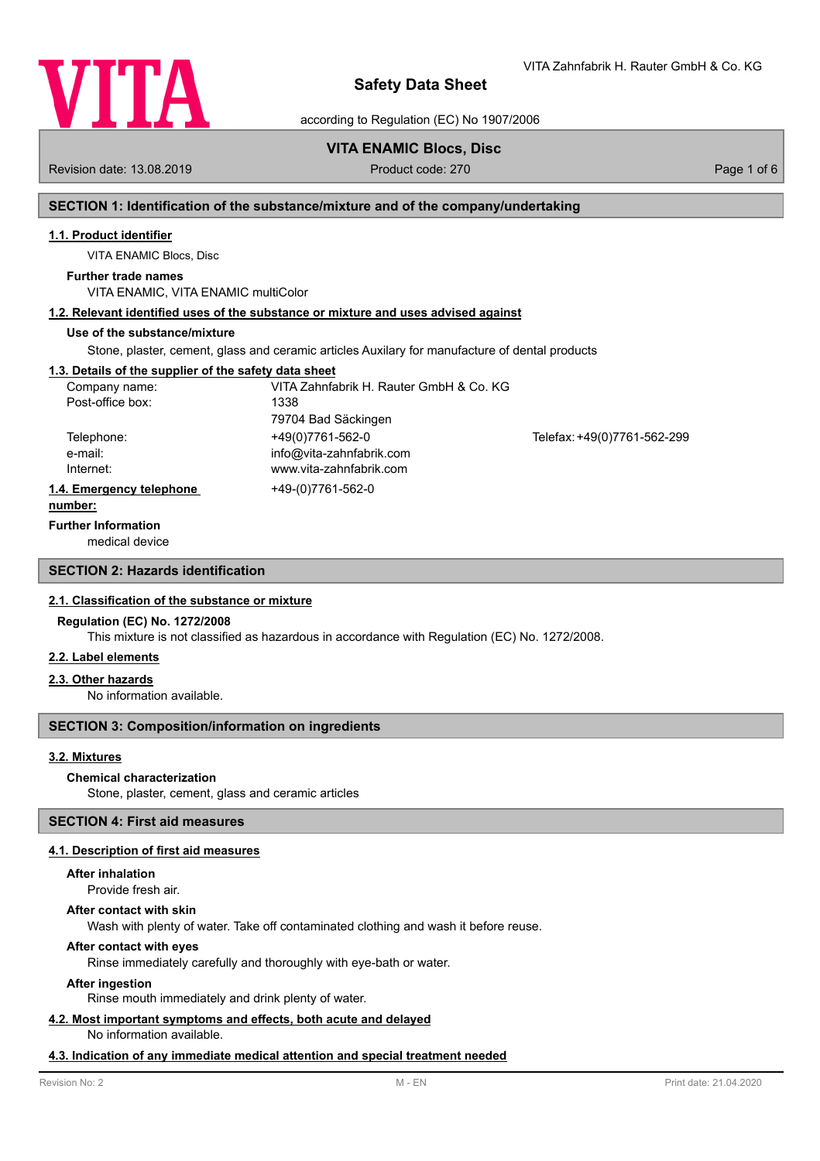

VITA Zahnfabrik H. Rauter GmbH & Co. KG

according to Regulation (EC) No 1907/2006

# **VITA ENAMIC Blocs, Disc**

Revision date: 13.08.2019 **Product code: 270** Product code: 270 **Page 1 of 6** Page 1 of 6

# **SECTION 1: Identification of the substance/mixture and of the company/undertaking**

# **1.1. Product identifier**

VITA ENAMIC Blocs, Disc

# **Further trade names**

VITA ENAMIC, VITA ENAMIC multiColor

# **1.2. Relevant identified uses of the substance or mixture and uses advised against**

# **Use of the substance/mixture**

Stone, plaster, cement, glass and ceramic articles Auxilary for manufacture of dental products

# **1.3. Details of the supplier of the safety data sheet**

| Company name:            | VITA Zahnfabrik H. Rauter GmbH & Co. KG |                             |
|--------------------------|-----------------------------------------|-----------------------------|
| Post-office box:         | 1338                                    |                             |
|                          | 79704 Bad Säckingen                     |                             |
| Telephone:               | +49(0)7761-562-0                        | Telefax: +49(0)7761-562-299 |
| e-mail:                  | info@vita-zahnfabrik.com                |                             |
| Internet:                | www.vita-zahnfabrik.com                 |                             |
| 1.4. Emergency telephone | +49-(0)7761-562-0                       |                             |
|                          |                                         |                             |

#### **number:**

### **Further Information**

medical device

# **SECTION 2: Hazards identification**

## **2.1. Classification of the substance or mixture**

## **Regulation (EC) No. 1272/2008**

This mixture is not classified as hazardous in accordance with Regulation (EC) No. 1272/2008.

#### **2.2. Label elements**

### **2.3. Other hazards**

No information available.

## **SECTION 3: Composition/information on ingredients**

### **3.2. Mixtures**

### **Chemical characterization**

Stone, plaster, cement, glass and ceramic articles

## **SECTION 4: First aid measures**

### **4.1. Description of first aid measures**

## **After inhalation**

Provide fresh air.

#### **After contact with skin**

Wash with plenty of water. Take off contaminated clothing and wash it before reuse.

## **After contact with eyes**

Rinse immediately carefully and thoroughly with eye-bath or water.

### **After ingestion**

Rinse mouth immediately and drink plenty of water.

# **4.2. Most important symptoms and effects, both acute and delayed**

No information available.

# **4.3. Indication of any immediate medical attention and special treatment needed**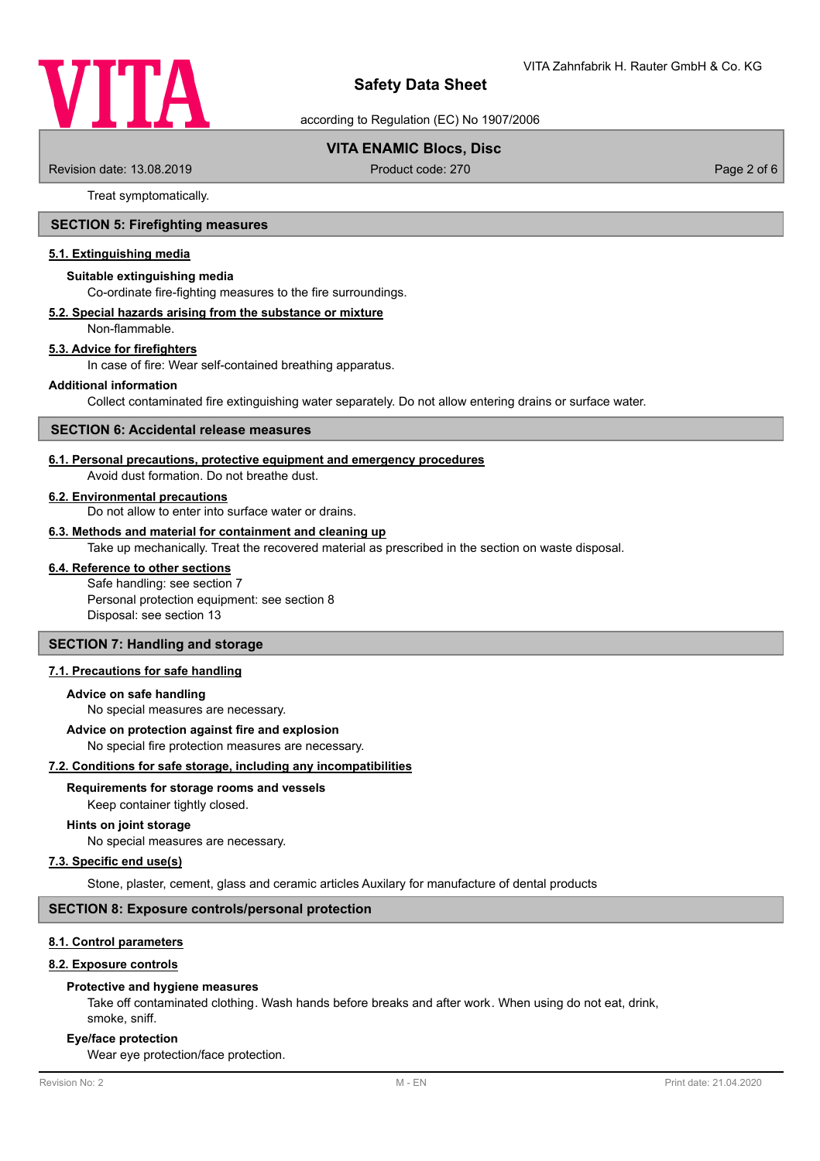

according to Regulation (EC) No 1907/2006

# **VITA ENAMIC Blocs, Disc**

Revision date: 13.08.2019 **Product code: 270** Product code: 270 **Page 2 of 6** Page 2 of 6

Treat symptomatically.

# **SECTION 5: Firefighting measures**

### **5.1. Extinguishing media**

#### **Suitable extinguishing media**

Co-ordinate fire-fighting measures to the fire surroundings.

#### **5.2. Special hazards arising from the substance or mixture**

Non-flammable.

## **5.3. Advice for firefighters**

In case of fire: Wear self-contained breathing apparatus.

#### **Additional information**

Collect contaminated fire extinguishing water separately. Do not allow entering drains or surface water.

### **SECTION 6: Accidental release measures**

#### **6.1. Personal precautions, protective equipment and emergency procedures**

Avoid dust formation. Do not breathe dust.

# **6.2. Environmental precautions**

Do not allow to enter into surface water or drains.

### **6.3. Methods and material for containment and cleaning up**

Take up mechanically. Treat the recovered material as prescribed in the section on waste disposal.

# **6.4. Reference to other sections**

Safe handling: see section 7 Personal protection equipment: see section 8 Disposal: see section 13

# **SECTION 7: Handling and storage**

# **7.1. Precautions for safe handling**

#### **Advice on safe handling**

No special measures are necessary.

#### **Advice on protection against fire and explosion**

No special fire protection measures are necessary.

#### **7.2. Conditions for safe storage, including any incompatibilities**

### **Requirements for storage rooms and vessels**

Keep container tightly closed.

#### **Hints on joint storage**

No special measures are necessary.

#### **7.3. Specific end use(s)**

Stone, plaster, cement, glass and ceramic articles Auxilary for manufacture of dental products

### **SECTION 8: Exposure controls/personal protection**

# **8.1. Control parameters**

### **8.2. Exposure controls**

#### **Protective and hygiene measures**

Take off contaminated clothing. Wash hands before breaks and after work. When using do not eat, drink, smoke, sniff.

#### **Eye/face protection**

Wear eye protection/face protection.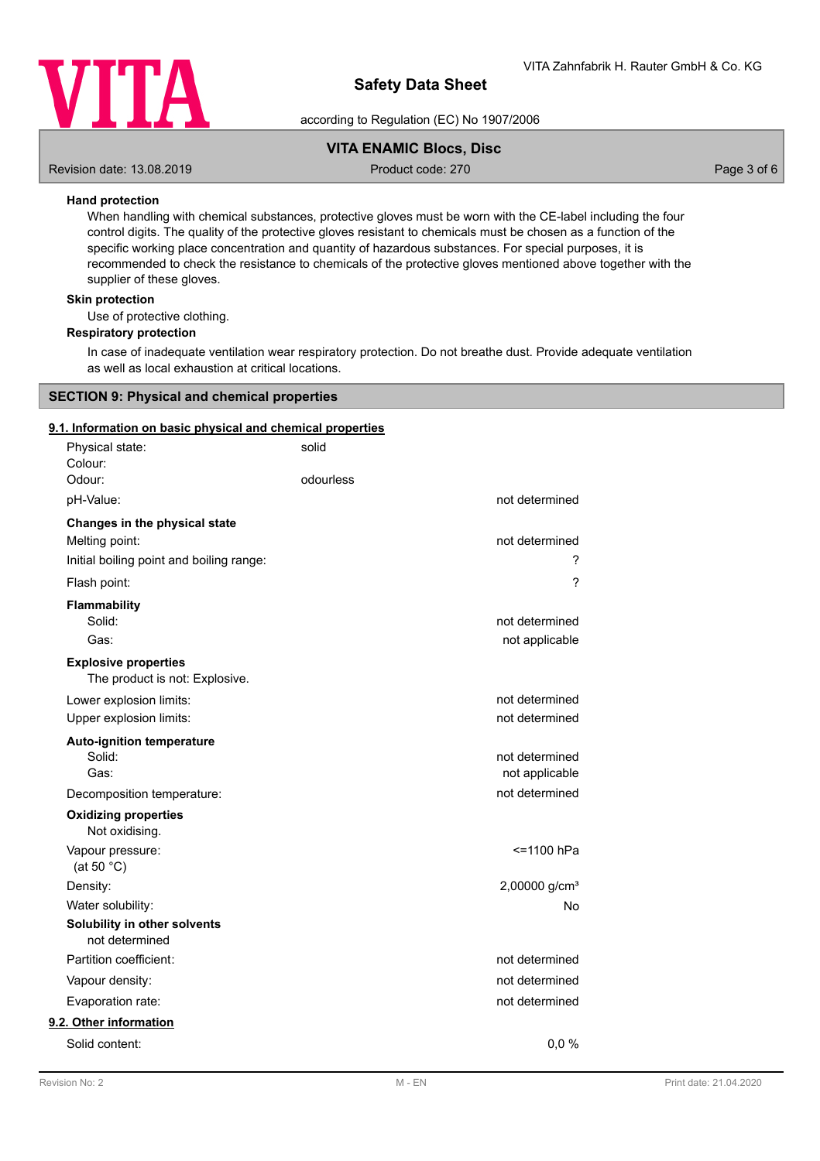

according to Regulation (EC) No 1907/2006

# **VITA ENAMIC Blocs, Disc**

Revision date: 13.08.2019 **Product code: 270** Product code: 270 **Page 3 of 6** Page 3 of 6

# **Hand protection**

When handling with chemical substances, protective gloves must be worn with the CE-label including the four control digits. The quality of the protective gloves resistant to chemicals must be chosen as a function of the specific working place concentration and quantity of hazardous substances. For special purposes, it is recommended to check the resistance to chemicals of the protective gloves mentioned above together with the supplier of these gloves.

## **Skin protection**

Use of protective clothing.

## **Respiratory protection**

In case of inadequate ventilation wear respiratory protection. Do not breathe dust. Provide adequate ventilation as well as local exhaustion at critical locations.

## **SECTION 9: Physical and chemical properties**

### **9.1. Information on basic physical and chemical properties**

| Physical state:<br>Colour:                                    | solid     |                           |
|---------------------------------------------------------------|-----------|---------------------------|
| Odour:                                                        | odourless |                           |
| pH-Value:                                                     |           | not determined            |
| Changes in the physical state                                 |           |                           |
| Melting point:                                                |           | not determined            |
| Initial boiling point and boiling range:                      |           | ?                         |
| Flash point:                                                  |           | $\overline{\phantom{0}}$  |
| Flammability                                                  |           |                           |
| Solid:                                                        |           | not determined            |
| Gas:                                                          |           | not applicable            |
| <b>Explosive properties</b><br>The product is not: Explosive. |           |                           |
| Lower explosion limits:                                       |           | not determined            |
| Upper explosion limits:                                       |           | not determined            |
| <b>Auto-ignition temperature</b>                              |           |                           |
| Solid:                                                        |           | not determined            |
| Gas:                                                          |           | not applicable            |
| Decomposition temperature:                                    |           | not determined            |
| <b>Oxidizing properties</b><br>Not oxidising.                 |           |                           |
| Vapour pressure:<br>(at 50 $°C$ )                             |           | <=1100 hPa                |
|                                                               |           | 2,00000 g/cm <sup>3</sup> |
| Density:<br>Water solubility:                                 |           | No                        |
| Solubility in other solvents                                  |           |                           |
| not determined                                                |           |                           |
| Partition coefficient:                                        |           | not determined            |
| Vapour density:                                               |           | not determined            |
| Evaporation rate:                                             |           | not determined            |
| 9.2. Other information                                        |           |                           |
| Solid content:                                                |           | 0,0%                      |
|                                                               |           |                           |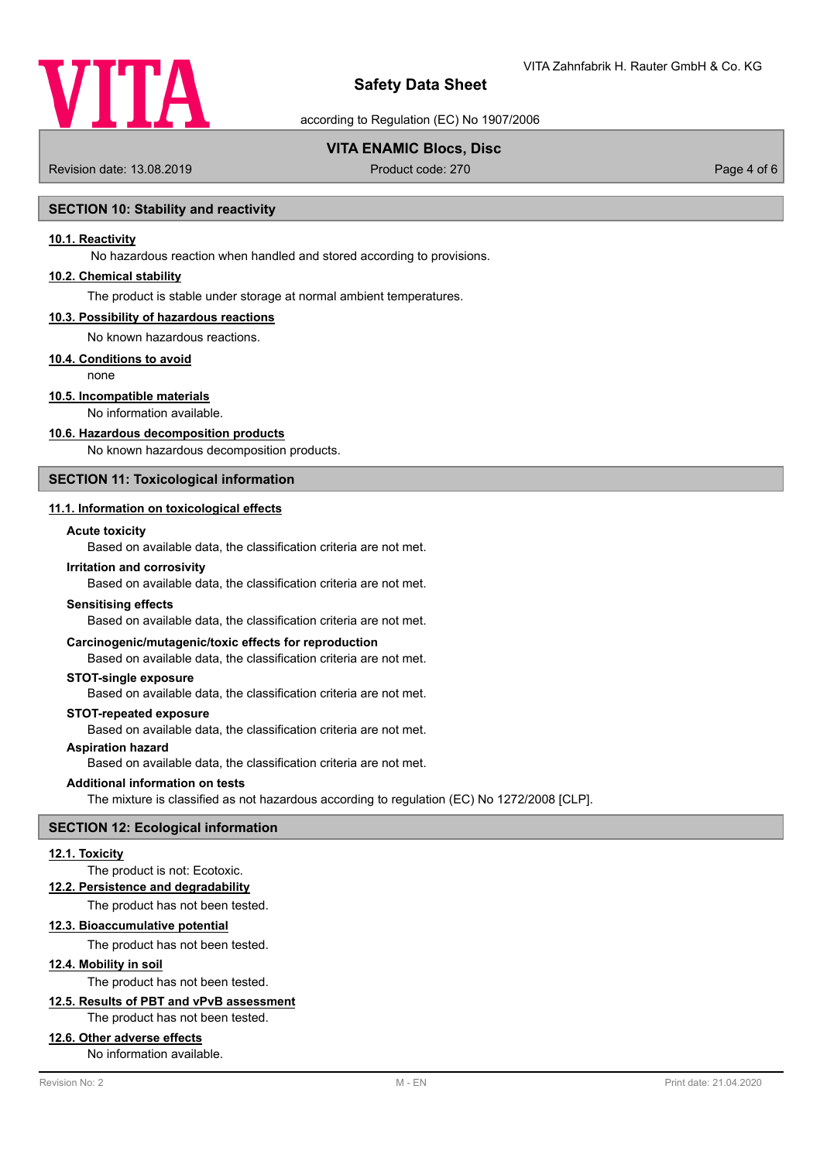

according to Regulation (EC) No 1907/2006

# **VITA ENAMIC Blocs, Disc**

Revision date: 13.08.2019 **Product code: 270** Product code: 270 **Page 4 of 6** Page 4 of 6

# **SECTION 10: Stability and reactivity**

### **10.1. Reactivity**

No hazardous reaction when handled and stored according to provisions.

## **10.2. Chemical stability**

The product is stable under storage at normal ambient temperatures.

#### **10.3. Possibility of hazardous reactions**

No known hazardous reactions.

## **10.4. Conditions to avoid**

none

# **10.5. Incompatible materials**

No information available.

#### **10.6. Hazardous decomposition products**

No known hazardous decomposition products.

# **SECTION 11: Toxicological information**

# **11.1. Information on toxicological effects**

### **Acute toxicity**

Based on available data, the classification criteria are not met.

#### **Irritation and corrosivity**

Based on available data, the classification criteria are not met.

#### **Sensitising effects**

Based on available data, the classification criteria are not met.

### **Carcinogenic/mutagenic/toxic effects for reproduction**

Based on available data, the classification criteria are not met.

#### **STOT-single exposure**

Based on available data, the classification criteria are not met.

### **STOT-repeated exposure**

Based on available data, the classification criteria are not met.

# **Aspiration hazard**

Based on available data, the classification criteria are not met.

#### **Additional information on tests**

The mixture is classified as not hazardous according to regulation (EC) No 1272/2008 [CLP].

### **SECTION 12: Ecological information**

### **12.1. Toxicity**

## The product is not: Ecotoxic.

**12.2. Persistence and degradability**

The product has not been tested.

### **12.3. Bioaccumulative potential**

The product has not been tested.

# **12.4. Mobility in soil**

The product has not been tested.

# **12.5. Results of PBT and vPvB assessment**

The product has not been tested.

## **12.6. Other adverse effects**

No information available.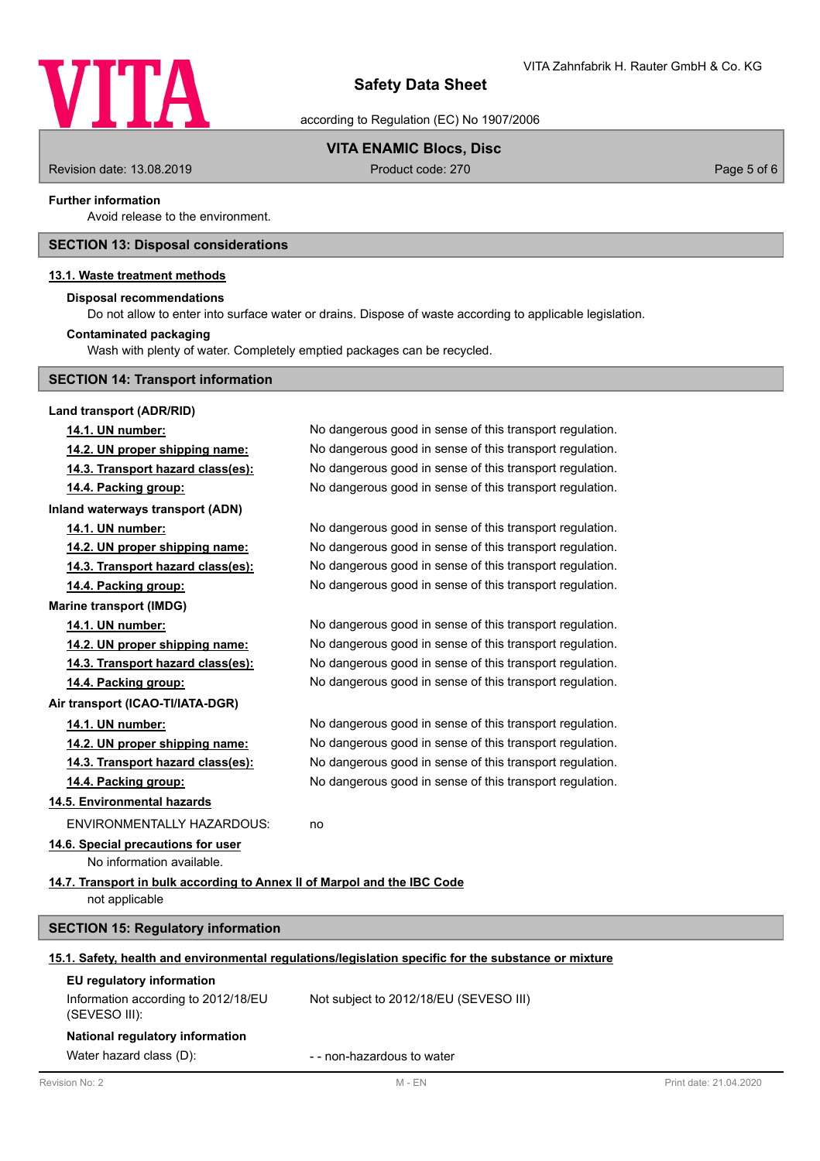

according to Regulation (EC) No 1907/2006

# **VITA ENAMIC Blocs, Disc**

Revision date: 13.08.2019 **Product code: 270** Product code: 270 **Page 5 of 6** Page 5 of 6

### **Further information**

Avoid release to the environment.

# **SECTION 13: Disposal considerations**

# **13.1. Waste treatment methods**

# **Disposal recommendations**

Do not allow to enter into surface water or drains. Dispose of waste according to applicable legislation.

# **Contaminated packaging**

Wash with plenty of water. Completely emptied packages can be recycled.

|  |  |  |  | <b>SECTION 14: Transport information</b> |
|--|--|--|--|------------------------------------------|
|--|--|--|--|------------------------------------------|

| Land transport (ADR/RID)                                                 |                                                                                                      |                        |
|--------------------------------------------------------------------------|------------------------------------------------------------------------------------------------------|------------------------|
| 14.1. UN number:                                                         | No dangerous good in sense of this transport regulation.                                             |                        |
| 14.2. UN proper shipping name:                                           | No dangerous good in sense of this transport regulation.                                             |                        |
| 14.3. Transport hazard class(es):                                        | No dangerous good in sense of this transport regulation.                                             |                        |
| 14.4. Packing group:                                                     | No dangerous good in sense of this transport regulation.                                             |                        |
| Inland waterways transport (ADN)                                         |                                                                                                      |                        |
| 14.1. UN number:                                                         | No dangerous good in sense of this transport regulation.                                             |                        |
| 14.2. UN proper shipping name:                                           | No dangerous good in sense of this transport regulation.                                             |                        |
| 14.3. Transport hazard class(es):                                        | No dangerous good in sense of this transport regulation.                                             |                        |
| 14.4. Packing group:                                                     | No dangerous good in sense of this transport regulation.                                             |                        |
| <b>Marine transport (IMDG)</b>                                           |                                                                                                      |                        |
| 14.1. UN number:                                                         | No dangerous good in sense of this transport regulation.                                             |                        |
| 14.2. UN proper shipping name:                                           | No dangerous good in sense of this transport regulation.                                             |                        |
| 14.3. Transport hazard class(es):                                        | No dangerous good in sense of this transport regulation.                                             |                        |
| 14.4. Packing group:                                                     | No dangerous good in sense of this transport regulation.                                             |                        |
| Air transport (ICAO-TI/IATA-DGR)                                         |                                                                                                      |                        |
| 14.1. UN number:                                                         | No dangerous good in sense of this transport regulation.                                             |                        |
| 14.2. UN proper shipping name:                                           | No dangerous good in sense of this transport regulation.                                             |                        |
| 14.3. Transport hazard class(es):                                        | No dangerous good in sense of this transport regulation.                                             |                        |
| 14.4. Packing group:                                                     | No dangerous good in sense of this transport regulation.                                             |                        |
| 14.5. Environmental hazards                                              |                                                                                                      |                        |
| <b>ENVIRONMENTALLY HAZARDOUS:</b>                                        | no                                                                                                   |                        |
| 14.6. Special precautions for user                                       |                                                                                                      |                        |
| No information available.                                                |                                                                                                      |                        |
| 14.7. Transport in bulk according to Annex II of Marpol and the IBC Code |                                                                                                      |                        |
| not applicable                                                           |                                                                                                      |                        |
| <b>SECTION 15: Regulatory information</b>                                |                                                                                                      |                        |
|                                                                          | 15.1. Safety, health and environmental regulations/legislation specific for the substance or mixture |                        |
| EU regulatory information                                                |                                                                                                      |                        |
| Information according to 2012/18/EU<br>(SEVESO III):                     | Not subject to 2012/18/EU (SEVESO III)                                                               |                        |
| National regulatory information                                          |                                                                                                      |                        |
| Water hazard class (D):                                                  | - - non-hazardous to water                                                                           |                        |
| Revision No: 2                                                           | $M - EN$                                                                                             | Print date: 21.04.2020 |